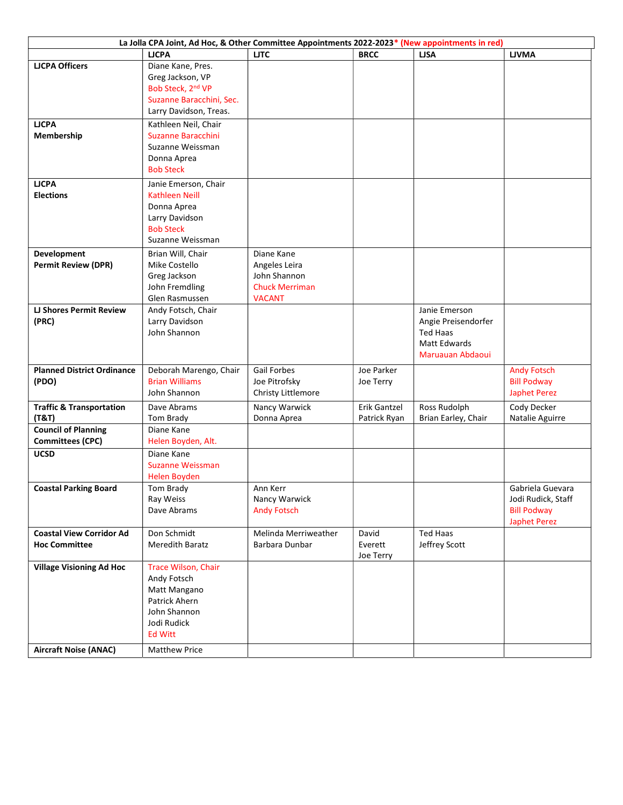| La Jolla CPA Joint, Ad Hoc, & Other Committee Appointments 2022-2023* (New appointments in red) |                                |                                     |              |                                 |                                          |  |
|-------------------------------------------------------------------------------------------------|--------------------------------|-------------------------------------|--------------|---------------------------------|------------------------------------------|--|
|                                                                                                 | <b>LJCPA</b>                   | <b>LJTC</b>                         | <b>BRCC</b>  | <b>LJSA</b>                     | <b>LJVMA</b>                             |  |
| <b>LJCPA Officers</b>                                                                           | Diane Kane, Pres.              |                                     |              |                                 |                                          |  |
|                                                                                                 | Greg Jackson, VP               |                                     |              |                                 |                                          |  |
|                                                                                                 | Bob Steck, 2nd VP              |                                     |              |                                 |                                          |  |
|                                                                                                 | Suzanne Baracchini, Sec.       |                                     |              |                                 |                                          |  |
|                                                                                                 | Larry Davidson, Treas.         |                                     |              |                                 |                                          |  |
| <b>LJCPA</b>                                                                                    | Kathleen Neil, Chair           |                                     |              |                                 |                                          |  |
| Membership                                                                                      | Suzanne Baracchini             |                                     |              |                                 |                                          |  |
|                                                                                                 | Suzanne Weissman               |                                     |              |                                 |                                          |  |
|                                                                                                 | Donna Aprea                    |                                     |              |                                 |                                          |  |
|                                                                                                 | <b>Bob Steck</b>               |                                     |              |                                 |                                          |  |
| <b>LJCPA</b>                                                                                    | Janie Emerson, Chair           |                                     |              |                                 |                                          |  |
| <b>Elections</b>                                                                                | <b>Kathleen Neill</b>          |                                     |              |                                 |                                          |  |
|                                                                                                 | Donna Aprea                    |                                     |              |                                 |                                          |  |
|                                                                                                 | Larry Davidson                 |                                     |              |                                 |                                          |  |
|                                                                                                 | <b>Bob Steck</b>               |                                     |              |                                 |                                          |  |
|                                                                                                 | Suzanne Weissman               |                                     |              |                                 |                                          |  |
| Development                                                                                     | Brian Will, Chair              | Diane Kane                          |              |                                 |                                          |  |
| <b>Permit Review (DPR)</b>                                                                      | Mike Costello                  | Angeles Leira                       |              |                                 |                                          |  |
|                                                                                                 | Greg Jackson                   | John Shannon                        |              |                                 |                                          |  |
|                                                                                                 | John Fremdling                 | <b>Chuck Merriman</b>               |              |                                 |                                          |  |
|                                                                                                 | Glen Rasmussen                 | <b>VACANT</b>                       |              |                                 |                                          |  |
| <b>LJ Shores Permit Review</b>                                                                  | Andy Fotsch, Chair             |                                     |              | Janie Emerson                   |                                          |  |
| (PRC)                                                                                           | Larry Davidson<br>John Shannon |                                     |              | Angie Preisendorfer             |                                          |  |
|                                                                                                 |                                |                                     |              | Ted Haas<br><b>Matt Edwards</b> |                                          |  |
|                                                                                                 |                                |                                     |              | Maruauan Abdaoui                |                                          |  |
|                                                                                                 |                                |                                     |              |                                 |                                          |  |
| <b>Planned District Ordinance</b>                                                               | Deborah Marengo, Chair         | Gail Forbes                         | Joe Parker   |                                 | <b>Andy Fotsch</b>                       |  |
| (PDO)                                                                                           | <b>Brian Williams</b>          | Joe Pitrofsky                       | Joe Terry    |                                 | <b>Bill Podway</b>                       |  |
|                                                                                                 | John Shannon                   | Christy Littlemore                  |              |                                 | <b>Japhet Perez</b>                      |  |
| <b>Traffic &amp; Transportation</b>                                                             | Dave Abrams                    | Nancy Warwick                       | Erik Gantzel | Ross Rudolph                    | Cody Decker                              |  |
| (T&T)                                                                                           | Tom Brady                      | Donna Aprea                         | Patrick Ryan | Brian Earley, Chair             | Natalie Aguirre                          |  |
| <b>Council of Planning</b>                                                                      | Diane Kane                     |                                     |              |                                 |                                          |  |
| <b>Committees (CPC)</b>                                                                         | Helen Boyden, Alt.             |                                     |              |                                 |                                          |  |
| <b>UCSD</b>                                                                                     | Diane Kane                     |                                     |              |                                 |                                          |  |
|                                                                                                 | <b>Suzanne Weissman</b>        |                                     |              |                                 |                                          |  |
|                                                                                                 | Helen Boyden                   |                                     |              |                                 |                                          |  |
| <b>Coastal Parking Board</b>                                                                    | Tom Brady                      | Ann Kerr                            |              |                                 | Gabriela Guevara                         |  |
|                                                                                                 | Ray Weiss<br>Dave Abrams       | Nancy Warwick<br><b>Andy Fotsch</b> |              |                                 | Jodi Rudick, Staff<br><b>Bill Podway</b> |  |
|                                                                                                 |                                |                                     |              |                                 | <b>Japhet Perez</b>                      |  |
| <b>Coastal View Corridor Ad</b>                                                                 | Don Schmidt                    | Melinda Merriweather                | David        | <b>Ted Haas</b>                 |                                          |  |
| <b>Hoc Committee</b>                                                                            | <b>Meredith Baratz</b>         | Barbara Dunbar                      | Everett      | Jeffrey Scott                   |                                          |  |
|                                                                                                 |                                |                                     | Joe Terry    |                                 |                                          |  |
| <b>Village Visioning Ad Hoc</b>                                                                 | Trace Wilson, Chair            |                                     |              |                                 |                                          |  |
|                                                                                                 | Andy Fotsch                    |                                     |              |                                 |                                          |  |
|                                                                                                 | Matt Mangano                   |                                     |              |                                 |                                          |  |
|                                                                                                 | Patrick Ahern                  |                                     |              |                                 |                                          |  |
|                                                                                                 | John Shannon                   |                                     |              |                                 |                                          |  |
|                                                                                                 | Jodi Rudick                    |                                     |              |                                 |                                          |  |
|                                                                                                 | <b>Ed Witt</b>                 |                                     |              |                                 |                                          |  |
| <b>Aircraft Noise (ANAC)</b>                                                                    | Matthew Price                  |                                     |              |                                 |                                          |  |